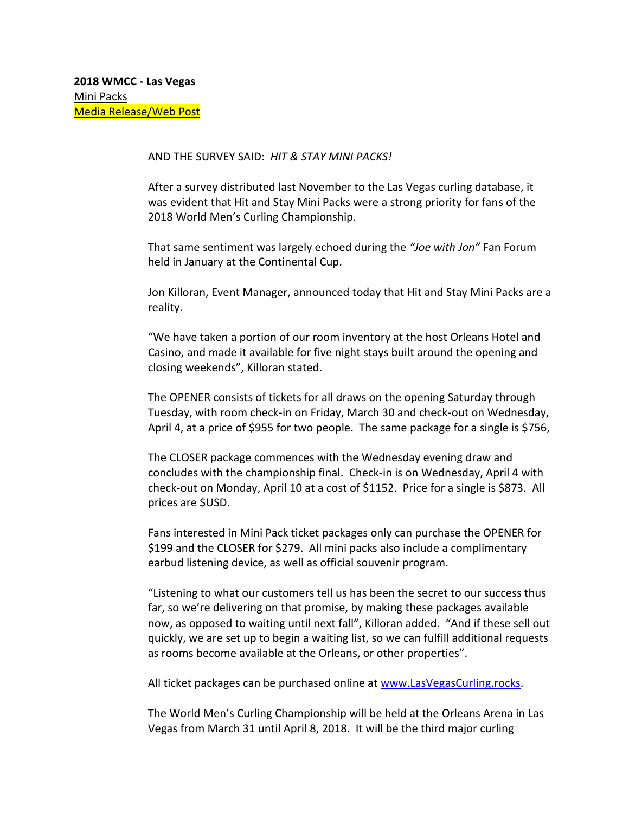## AND THE SURVEY SAID: *HIT & STAY MINI PACKS!*

After a survey distributed last November to the Las Vegas curling database, it was evident that Hit and Stay Mini Packs were a strong priority for fans of the 2018 World Men's Curling Championship.

That same sentiment was largely echoed during the *"Joe with Jon"* Fan Forum held in January at the Continental Cup.

Jon Killoran, Event Manager, announced today that Hit and Stay Mini Packs are a reality.

"We have taken a portion of our room inventory at the host Orleans Hotel and Casino, and made it available for five night stays built around the opening and closing weekends", Killoran stated.

The OPENER consists of tickets for all draws on the opening Saturday through Tuesday, with room check-in on Friday, March 30 and check-out on Wednesday, April 4, at a price of \$955 for two people. The same package for a single is \$756,

The CLOSER package commences with the Wednesday evening draw and concludes with the championship final. Check-in is on Wednesday, April 4 with check-out on Monday, April 10 at a cost of \$1152. Price for a single is \$873. All prices are \$USD.

Fans interested in Mini Pack ticket packages only can purchase the OPENER for \$199 and the CLOSER for \$279. All mini packs also include a complimentary earbud listening device, as well as official souvenir program.

"Listening to what our customers tell us has been the secret to our success thus far, so we're delivering on that promise, by making these packages available now, as opposed to waiting until next fall", Killoran added. "And if these sell out quickly, we are set up to begin a waiting list, so we can fulfill additional requests as rooms become available at the Orleans, or other properties".

All ticket packages can be purchased online at [www.LasVegasCurling.rocks.](http://www.lasvegascurling.rocks/)

The World Men's Curling Championship will be held at the Orleans Arena in Las Vegas from March 31 until April 8, 2018. It will be the third major curling